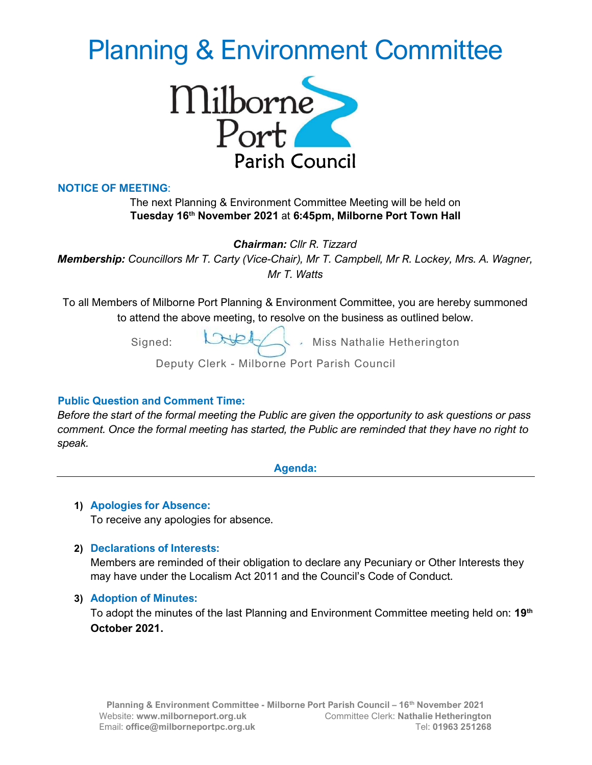# Planning & Environment Committee



## NOTICE OF MEETING:

## The next Planning & Environment Committee Meeting will be held on Tuesday 16<sup>th</sup> November 2021 at 6:45pm, Milborne Port Town Hall

Chairman: Cllr R. Tizzard

Membership: Councillors Mr T. Carty (Vice-Chair), Mr T. Campbell, Mr R. Lockey, Mrs. A. Wagner, Mr T. Watts

To all Members of Milborne Port Planning & Environment Committee, you are hereby summoned to attend the above meeting, to resolve on the business as outlined below.

Signed: CHELL, Miss Nathalie Hetherington

Deputy Clerk - Milborne Port Parish Council

#### Public Question and Comment Time:

Before the start of the formal meeting the Public are given the opportunity to ask questions or pass comment. Once the formal meeting has started, the Public are reminded that they have no right to speak.

Agenda:

# 1) Apologies for Absence:

To receive any apologies for absence.

# 2) Declarations of Interests:

Members are reminded of their obligation to declare any Pecuniary or Other Interests they may have under the Localism Act 2011 and the Council's Code of Conduct.

#### 3) Adoption of Minutes:

To adopt the minutes of the last Planning and Environment Committee meeting held on: 19<sup>th</sup> October 2021.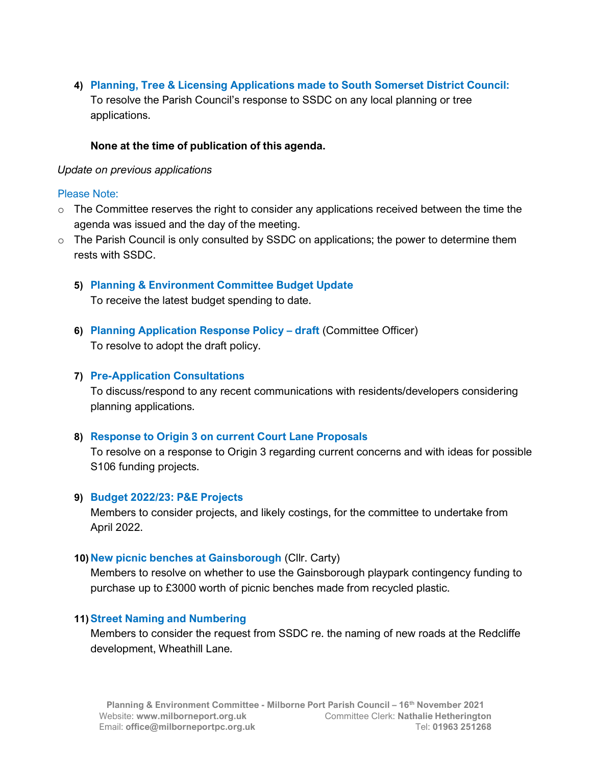4) Planning, Tree & Licensing Applications made to South Somerset District Council: To resolve the Parish Council's response to SSDC on any local planning or tree applications.

# None at the time of publication of this agenda.

## Update on previous applications

## Please Note:

- $\circ$  The Committee reserves the right to consider any applications received between the time the agenda was issued and the day of the meeting.
- $\circ$  The Parish Council is only consulted by SSDC on applications; the power to determine them rests with SSDC.
	- 5) Planning & Environment Committee Budget Update To receive the latest budget spending to date.
	- 6) Planning Application Response Policy draft (Committee Officer) To resolve to adopt the draft policy.

# 7) Pre-Application Consultations

To discuss/respond to any recent communications with residents/developers considering planning applications.

# 8) Response to Origin 3 on current Court Lane Proposals

To resolve on a response to Origin 3 regarding current concerns and with ideas for possible S106 funding projects.

# 9) Budget 2022/23: P&E Projects

Members to consider projects, and likely costings, for the committee to undertake from April 2022.

#### 10) New picnic benches at Gainsborough (Cllr. Carty)

Members to resolve on whether to use the Gainsborough playpark contingency funding to purchase up to £3000 worth of picnic benches made from recycled plastic.

#### 11)Street Naming and Numbering

Members to consider the request from SSDC re. the naming of new roads at the Redcliffe development, Wheathill Lane.